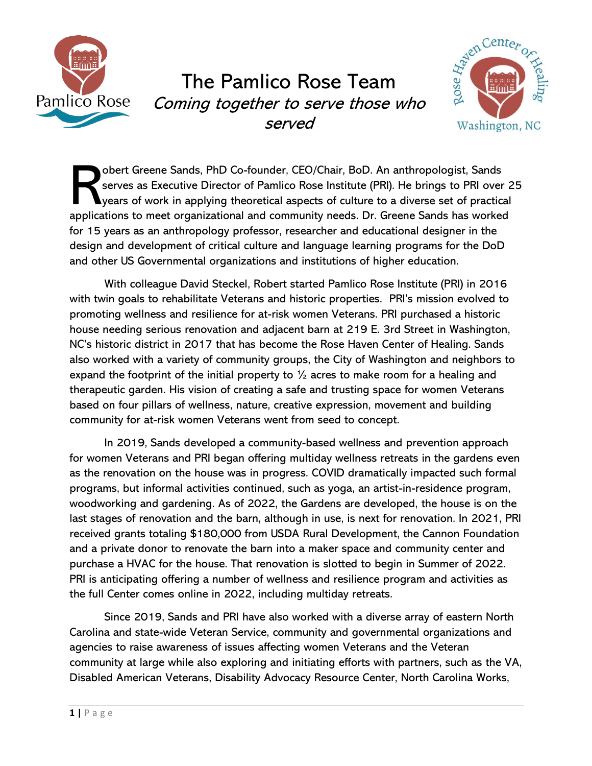

## The Pamlico Rose Team Coming together to serve those who served



obert Greene Sands, PhD Co-founder, CEO/Chair, BoD. An anthropologist, Sands serves as Executive Director of Pamlico Rose Institute (PRI). He brings to PRI over 25 years of work in applying theoretical aspects of culture to a diverse set of practical obert Greene Sands, PhD Co-founder, CEO/Chair, BoD. An anthropologist, Sands serves as Executive Director of Pamlico Rose Institute (PRI). He brings to PRI over 2 years of work in applying theoretical aspects of culture to for 15 years as an anthropology professor, researcher and educational designer in the design and development of critical culture and language learning programs for the DoD and other US Governmental organizations and institutions of higher education.

With colleague David Steckel, Robert started Pamlico Rose Institute (PRI) in 2016 with twin goals to rehabilitate Veterans and historic properties. PRI's mission evolved to promoting wellness and resilience for at-risk women Veterans. PRI purchased a historic house needing serious renovation and adjacent barn at 219 E. 3rd Street in Washington, NC's historic district in 2017 that has become the Rose Haven Center of Healing. Sands also worked with a variety of community groups, the City of Washington and neighbors to expand the footprint of the initial property to  $\frac{1}{2}$  acres to make room for a healing and therapeutic garden. His vision of creating a safe and trusting space for women Veterans based on four pillars of wellness, nature, creative expression, movement and building community for at-risk women Veterans went from seed to concept.

In 2019, Sands developed a community-based wellness and prevention approach for women Veterans and PRI began offering multiday wellness retreats in the gardens even as the renovation on the house was in progress. COVID dramatically impacted such formal programs, but informal activities continued, such as yoga, an artist-in-residence program, woodworking and gardening. As of 2022, the Gardens are developed, the house is on the last stages of renovation and the barn, although in use, is next for renovation. In 2021, PRI received grants totaling \$180,000 from USDA Rural Development, the Cannon Foundation and a private donor to renovate the barn into a maker space and community center and purchase a HVAC for the house. That renovation is slotted to begin in Summer of 2022. PRI is anticipating offering a number of wellness and resilience program and activities as the full Center comes online in 2022, including multiday retreats.

Since 2019, Sands and PRI have also worked with a diverse array of eastern North Carolina and state-wide Veteran Service, community and governmental organizations and agencies to raise awareness of issues affecting women Veterans and the Veteran community at large while also exploring and initiating efforts with partners, such as the VA, Disabled American Veterans, Disability Advocacy Resource Center, North Carolina Works,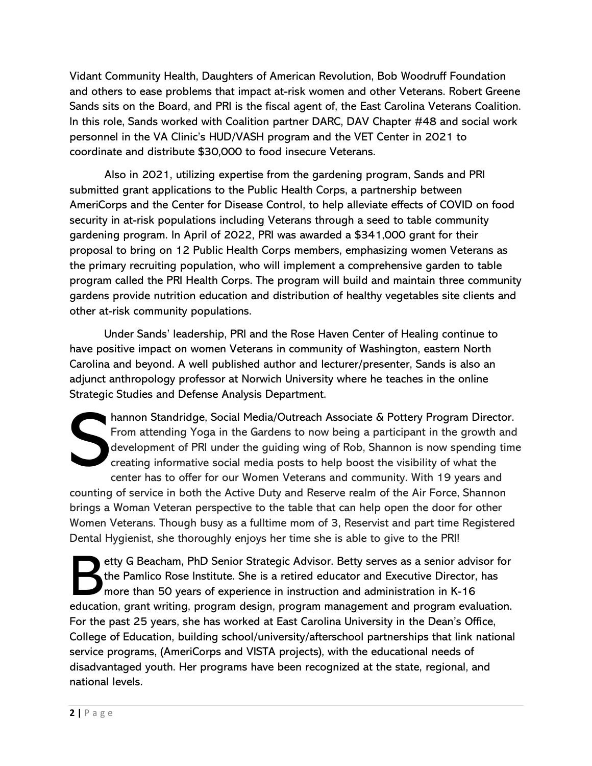Vidant Community Health, Daughters of American Revolution, Bob Woodruff Foundation and others to ease problems that impact at-risk women and other Veterans. Robert Greene Sands sits on the Board, and PRI is the fiscal agent of, the East Carolina Veterans Coalition. In this role, Sands worked with Coalition partner DARC, DAV Chapter #48 and social work personnel in the VA Clinic's HUD/VASH program and the VET Center in 2021 to coordinate and distribute \$30,000 to food insecure Veterans.

Also in 2021, utilizing expertise from the gardening program, Sands and PRI submitted grant applications to the Public Health Corps, a partnership between AmeriCorps and the Center for Disease Control, to help alleviate effects of COVID on food security in at-risk populations including Veterans through a seed to table community gardening program. In April of 2022, PRI was awarded a \$341,000 grant for their proposal to bring on 12 Public Health Corps members, emphasizing women Veterans as the primary recruiting population, who will implement a comprehensive garden to table program called the PRI Health Corps. The program will build and maintain three community gardens provide nutrition education and distribution of healthy vegetables site clients and other at-risk community populations.

Under Sands' leadership, PRI and the Rose Haven Center of Healing continue to have positive impact on women Veterans in community of Washington, eastern North Carolina and beyond. A well published author and lecturer/presenter, Sands is also an adjunct anthropology professor at Norwich University where he teaches in the online Strategic Studies and Defense Analysis Department.

hannon Standridge, Social Media/Outreach Associate & Pottery Program Director. From attending Yoga in the Gardens to now being a participant in the growth and development of PRI under the guiding wing of Rob, Shannon is now spending time creating informative social media posts to help boost the visibility of what the center has to offer for our Women Veterans and community. With 19 years and counting of service in both the Active Duty and Reserve realm of the Air Force, Shannon brings a Woman Veteran perspective to the table that can help open the door for other Women Veterans. Though busy as a fulltime mom of 3, Reservist and part time Registered Dental Hygienist, she thoroughly enjoys her time she is able to give to the PRI! S

etty G Beacham, PhD Senior Strategic Advisor. Betty serves as a senior advisor for the Pamlico Rose Institute. She is a retired educator and Executive Director, has more than 50 years of experience in instruction and administration in K-16 etty G Beacham, PhD Senior Strategic Advisor. Betty serves as a senior advisor for<br>the Pamlico Rose Institute. She is a retired educator and Executive Director, has<br>more than 50 years of experience in instruction and admin For the past 25 years, she has worked at East Carolina University in the Dean's Office, College of Education, building school/university/afterschool partnerships that link national service programs, (AmeriCorps and VISTA projects), with the educational needs of disadvantaged youth. Her programs have been recognized at the state, regional, and national levels.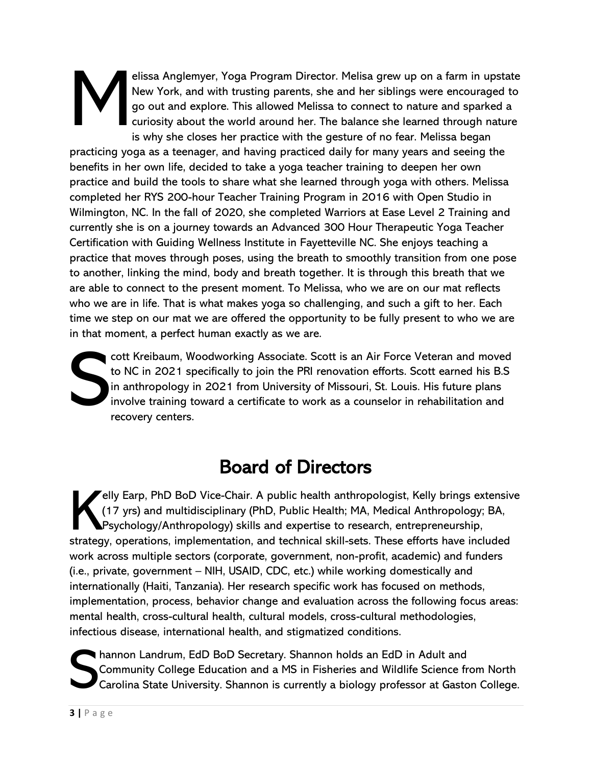## elissa Anglemyer, Yoga Program Director. Melisa grew up on a farm in upstate New York, and with trusting parents, she and her siblings were encouraged to go out and explore. This allowed Melissa to connect to nature and sparked a curiosity about the world around her. The balance she learned through nature is why she closes her practice with the gesture of no fear. Melissa began M

practicing yoga as a teenager, and having practiced daily for many years and seeing the benefits in her own life, decided to take a yoga teacher training to deepen her own practice and build the tools to share what she learned through yoga with others. Melissa completed her RYS 200-hour Teacher Training Program in 2016 with Open Studio in Wilmington, NC. In the fall of 2020, she completed Warriors at Ease Level 2 Training and currently she is on a journey towards an Advanced 300 Hour Therapeutic Yoga Teacher Certification with Guiding Wellness Institute in Fayetteville NC. She enjoys teaching a practice that moves through poses, using the breath to smoothly transition from one pose to another, linking the mind, body and breath together. It is through this breath that we are able to connect to the present moment. To Melissa, who we are on our mat reflects who we are in life. That is what makes yoga so challenging, and such a gift to her. Each time we step on our mat we are offered the opportunity to be fully present to who we are in that moment, a perfect human exactly as we are.

cott Kreibaum, Woodworking Associate. Scott is an Air Force Veteran and moved to NC in 2021 specifically to join the PRI renovation efforts. Scott earned his B.S in anthropology in 2021 from University of Missouri, St. Louis. His future plans involve training toward a certificate to work as a counselor in rehabilitation and recovery centers. S

## Board of Directors

**Jelly Earp, PhD BoD Vice-Chair. A public health anthropologist, Kelly brings extensive** (17 yrs) and multidisciplinary (PhD, Public Health; MA, Medical Anthropology; BA, Psychology/Anthropology) skills and expertise to research, entrepreneurship, elly Earp, PhD BoD Vice-Chair. A public health anthropologist, Kelly brings extensiv (17 yrs) and multidisciplinary (PhD, Public Health; MA, Medical Anthropology; BA, Psychology/Anthropology) skills and expertise to resear work across multiple sectors (corporate, government, non-profit, academic) and funders (i.e., private, government – NIH, USAID, CDC, etc.) while working domestically and internationally (Haiti, Tanzania). Her research specific work has focused on methods, implementation, process, behavior change and evaluation across the following focus areas: mental health, cross-cultural health, cultural models, cross-cultural methodologies, infectious disease, international health, and stigmatized conditions.

hannon Landrum, EdD BoD Secretary. Shannon holds an EdD in Adult and Community College Education and a MS in Fisheries and Wildlife Science from North Carolina State University. Shannon is currently a biology professor at Gaston College. S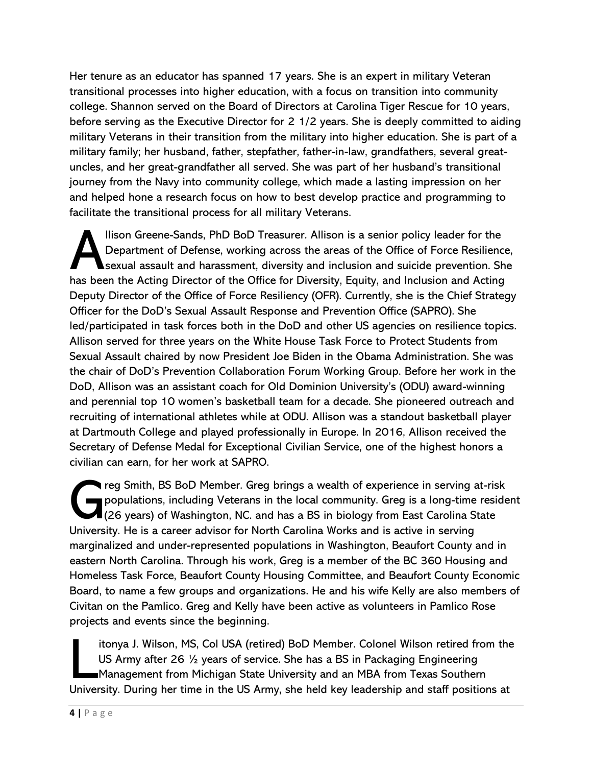Her tenure as an educator has spanned 17 years. She is an expert in military Veteran transitional processes into higher education, with a focus on transition into community college. Shannon served on the Board of Directors at Carolina Tiger Rescue for 10 years, before serving as the Executive Director for 2 1/2 years. She is deeply committed to aiding military Veterans in their transition from the military into higher education. She is part of a military family; her husband, father, stepfather, father-in-law, grandfathers, several greatuncles, and her great-grandfather all served. She was part of her husband's transitional journey from the Navy into community college, which made a lasting impression on her and helped hone a research focus on how to best develop practice and programming to facilitate the transitional process for all military Veterans.

llison Greene-Sands, PhD BoD Treasurer. Allison is a senior policy leader for the Department of Defense, working across the areas of the Office of Force Resilience,  $\blacktriangle$ sexual assault and harassment, diversity and inclusion and suicide prevention. She has been the Acting Director of the Office for Diversity, Equity, and Inclusion and Acting Deputy Director of the Office of Force Resiliency (OFR). Currently, she is the Chief Strategy Officer for the DoD's Sexual Assault Response and Prevention Office (SAPRO). She led/participated in task forces both in the DoD and other US agencies on resilience topics. Allison served for three years on the White House Task Force to Protect Students from Sexual Assault chaired by now President Joe Biden in the Obama Administration. She was the chair of DoD's Prevention Collaboration Forum Working Group. Before her work in the DoD, Allison was an assistant coach for Old Dominion University's (ODU) award-winning and perennial top 10 women's basketball team for a decade. She pioneered outreach and recruiting of international athletes while at ODU. Allison was a standout basketball player at Dartmouth College and played professionally in Europe. In 2016, Allison received the Secretary of Defense Medal for Exceptional Civilian Service, one of the highest honors a civilian can earn, for her work at SAPRO. A

reg Smith, BS BoD Member. Greg brings a wealth of experience in serving at-risk populations, including Veterans in the local community. Greg is a long-time resident  $\blacksquare$  (26 years) of Washington, NC. and has a BS in biology from East Carolina State The is a career advisor for North Carolina Works and is active in serving a University. He is a career advisor for North Carolina Works and is active in serving the University. He is a career advisor for North Carolina Wor marginalized and under-represented populations in Washington, Beaufort County and in eastern North Carolina. Through his work, Greg is a member of the BC 360 Housing and Homeless Task Force, Beaufort County Housing Committee, and Beaufort County Economic Board, to name a few groups and organizations. He and his wife Kelly are also members of Civitan on the Pamlico. Greg and Kelly have been active as volunteers in Pamlico Rose projects and events since the beginning.

itonya J. Wilson, MS, Col USA (retired) BoD Member. Colonel Wilson retired from the US Army after 26 ½ years of service. She has a BS in Packaging Engineering Management from Michigan State University and an MBA from Texas Southern University. During her time in the US Army, she held key leadership and staff positions at  $\overline{\phantom{a}}$